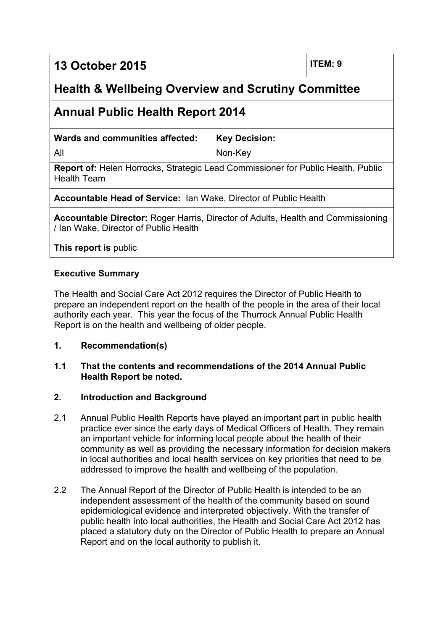**13 October 2015 ITEM: 9**

# **Health & Wellbeing Overview and Scrutiny Committee**

## **Annual Public Health Report 2014**

**Wards and communities affected:**

**Key Decision:** Non-Key

All

**Report of:** Helen Horrocks, Strategic Lead Commissioner for Public Health, Public Health Team

**Accountable Head of Service:** Ian Wake, Director of Public Health

**Accountable Director:** Roger Harris, Director of Adults, Health and Commissioning / Ian Wake, Director of Public Health

**This report is** public

### **Executive Summary**

The Health and Social Care Act 2012 requires the Director of Public Health to prepare an independent report on the health of the people in the area of their local authority each year. This year the focus of the Thurrock Annual Public Health Report is on the health and wellbeing of older people.

### **1. Recommendation(s)**

#### **1.1 That the contents and recommendations of the 2014 Annual Public Health Report be noted.**

### **2. Introduction and Background**

- 2.1 Annual Public Health Reports have played an important part in public health practice ever since the early days of Medical Officers of Health. They remain an important vehicle for informing local people about the health of their community as well as providing the necessary information for decision makers in local authorities and local health services on key priorities that need to be addressed to improve the health and wellbeing of the population.
- 2.2 The Annual Report of the Director of Public Health is intended to be an independent assessment of the health of the community based on sound epidemiological evidence and interpreted objectively. With the transfer of public health into local authorities, the Health and Social Care Act 2012 has placed a statutory duty on the Director of Public Health to prepare an Annual Report and on the local authority to publish it.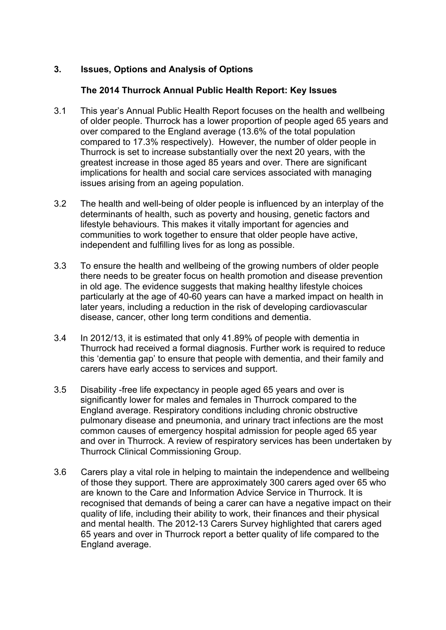### **3. Issues, Options and Analysis of Options**

#### **The 2014 Thurrock Annual Public Health Report: Key Issues**

- 3.1 This year's Annual Public Health Report focuses on the health and wellbeing of older people. Thurrock has a lower proportion of people aged 65 years and over compared to the England average (13.6% of the total population compared to 17.3% respectively). However, the number of older people in Thurrock is set to increase substantially over the next 20 years, with the greatest increase in those aged 85 years and over. There are significant implications for health and social care services associated with managing issues arising from an ageing population.
- 3.2 The health and well-being of older people is influenced by an interplay of the determinants of health, such as poverty and housing, genetic factors and lifestyle behaviours. This makes it vitally important for agencies and communities to work together to ensure that older people have active, independent and fulfilling lives for as long as possible.
- 3.3 To ensure the health and wellbeing of the growing numbers of older people there needs to be greater focus on health promotion and disease prevention in old age. The evidence suggests that making healthy lifestyle choices particularly at the age of 40-60 years can have a marked impact on health in later years, including a reduction in the risk of developing cardiovascular disease, cancer, other long term conditions and dementia.
- 3.4 In 2012/13, it is estimated that only 41.89% of people with dementia in Thurrock had received a formal diagnosis. Further work is required to reduce this 'dementia gap' to ensure that people with dementia, and their family and carers have early access to services and support.
- 3.5 Disability -free life expectancy in people aged 65 years and over is significantly lower for males and females in Thurrock compared to the England average. Respiratory conditions including chronic obstructive pulmonary disease and pneumonia, and urinary tract infections are the most common causes of emergency hospital admission for people aged 65 year and over in Thurrock. A review of respiratory services has been undertaken by Thurrock Clinical Commissioning Group.
- 3.6 Carers play a vital role in helping to maintain the independence and wellbeing of those they support. There are approximately 300 carers aged over 65 who are known to the Care and Information Advice Service in Thurrock. It is recognised that demands of being a carer can have a negative impact on their quality of life, including their ability to work, their finances and their physical and mental health. The 2012-13 Carers Survey highlighted that carers aged 65 years and over in Thurrock report a better quality of life compared to the England average.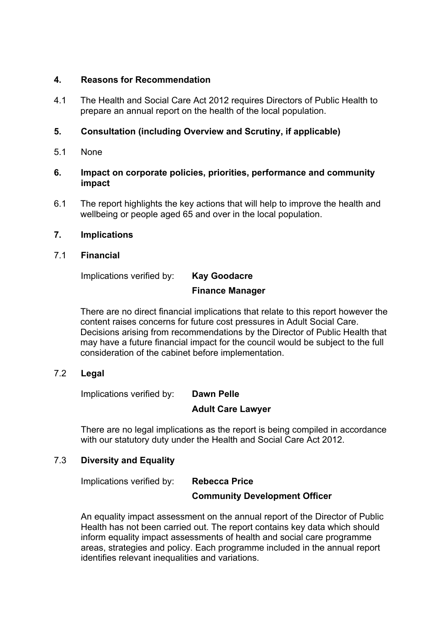#### **4. Reasons for Recommendation**

4.1 The Health and Social Care Act 2012 requires Directors of Public Health to prepare an annual report on the health of the local population.

#### **5. Consultation (including Overview and Scrutiny, if applicable)**

5.1 None

#### **6. Impact on corporate policies, priorities, performance and community impact**

6.1 The report highlights the key actions that will help to improve the health and wellbeing or people aged 65 and over in the local population.

#### **7. Implications**

#### 7.1 **Financial**

Implications verified by: **Kay Goodacre**

# **Finance Manager**

There are no direct financial implications that relate to this report however the content raises concerns for future cost pressures in Adult Social Care. Decisions arising from recommendations by the Director of Public Health that may have a future financial impact for the council would be subject to the full consideration of the cabinet before implementation.

### 7.2 **Legal**

Implications verified by: **Dawn Pelle**

### **Adult Care Lawyer**

There are no legal implications as the report is being compiled in accordance with our statutory duty under the Health and Social Care Act 2012.

### 7.3 **Diversity and Equality**

Implications verified by: **Rebecca Price**

### **Community Development Officer**

An equality impact assessment on the annual report of the Director of Public Health has not been carried out. The report contains key data which should inform equality impact assessments of health and social care programme areas, strategies and policy. Each programme included in the annual report identifies relevant inequalities and variations.